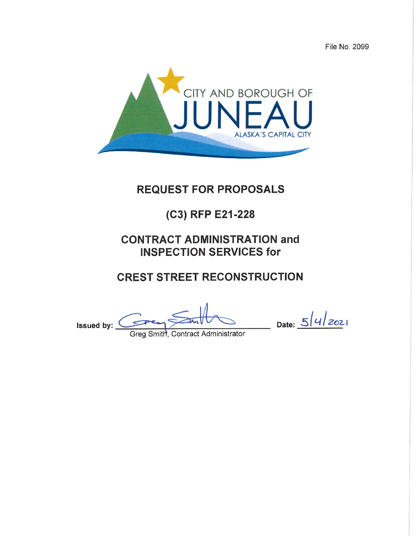File No. 2099



# **REQUEST FOR PROPOSALS**

# (C3) RFP E21-228

# **CONTRACT ADMINISTRATION and INSPECTION SERVICES for**

# **CREST STREET RECONSTRUCTION**

Issued by:  $\left($ 

Date:  $5|4|z_{02}|$ 

Greg Smith, Contract Administrator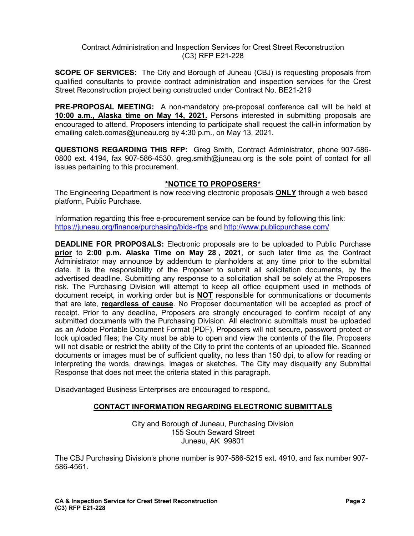#### Contract Administration and Inspection Services for Crest Street Reconstruction (C3) RFP E21-228

**SCOPE OF SERVICES:** The City and Borough of Juneau (CBJ) is requesting proposals from qualified consultants to provide contract administration and inspection services for the Crest Street Reconstruction project being constructed under Contract No. BE21-219

**PRE-PROPOSAL MEETING:** A non-mandatory pre-proposal conference call will be held at **10:00 a.m., Alaska time on May 14, 2021.** Persons interested in submitting proposals are encouraged to attend. Proposers intending to participate shall request the call-in information by emailing caleb.comas@juneau.org by 4:30 p.m., on May 13, 2021.

**QUESTIONS REGARDING THIS RFP:** Greg Smith, Contract Administrator, phone 907-586- 0800 ext. 4194, fax 907-586-4530, greg.smith@juneau.org is the sole point of contact for all issues pertaining to this procurement.

# **\*NOTICE TO PROPOSERS\***

The Engineering Department is now receiving electronic proposals **ONLY** through a web based platform, Public Purchase.

Information regarding this free e-procurement service can be found by following this link: <https://juneau.org/finance/purchasing/bids-rfps> and<http://www.publicpurchase.com/>

**DEADLINE FOR PROPOSALS:** Electronic proposals are to be uploaded to Public Purchase **prior** to **2:00 p.m. Alaska Time on May 28 , 2021**, or such later time as the Contract Administrator may announce by addendum to planholders at any time prior to the submittal date. It is the responsibility of the Proposer to submit all solicitation documents, by the advertised deadline. Submitting any response to a solicitation shall be solely at the Proposers risk. The Purchasing Division will attempt to keep all office equipment used in methods of document receipt, in working order but is **NOT** responsible for communications or documents that are late, **regardless of cause**. No Proposer documentation will be accepted as proof of receipt. Prior to any deadline, Proposers are strongly encouraged to confirm receipt of any submitted documents with the Purchasing Division. All electronic submittals must be uploaded as an Adobe Portable Document Format (PDF). Proposers will not secure, password protect or lock uploaded files; the City must be able to open and view the contents of the file. Proposers will not disable or restrict the ability of the City to print the contents of an uploaded file. Scanned documents or images must be of sufficient quality, no less than 150 dpi, to allow for reading or interpreting the words, drawings, images or sketches. The City may disqualify any Submittal Response that does not meet the criteria stated in this paragraph.

Disadvantaged Business Enterprises are encouraged to respond.

# **CONTACT INFORMATION REGARDING ELECTRONIC SUBMITTALS**

City and Borough of Juneau, Purchasing Division 155 South Seward Street Juneau, AK 99801

The CBJ Purchasing Division's phone number is 907-586-5215 ext. 4910, and fax number 907- 586-4561.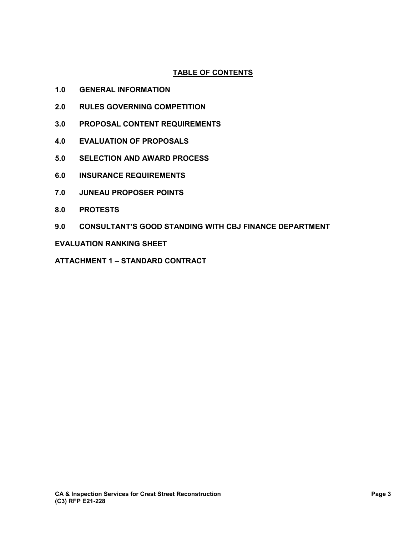# **TABLE OF CONTENTS**

- **1.0 GENERAL INFORMATION**
- **2.0 RULES GOVERNING COMPETITION**
- **3.0 PROPOSAL CONTENT REQUIREMENTS**
- **4.0 EVALUATION OF PROPOSALS**
- **5.0 SELECTION AND AWARD PROCESS**
- **6.0 INSURANCE REQUIREMENTS**
- **7.0 JUNEAU PROPOSER POINTS**
- **8.0 PROTESTS**
- **9.0 CONSULTANT'S GOOD STANDING WITH CBJ FINANCE DEPARTMENT**

#### **EVALUATION RANKING SHEET**

**ATTACHMENT 1 – STANDARD CONTRACT**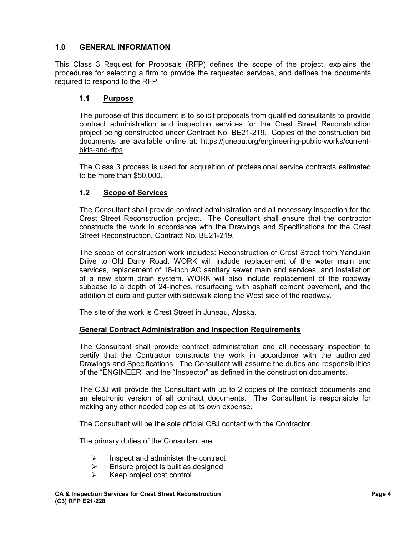# **1.0 GENERAL INFORMATION**

This Class 3 Request for Proposals (RFP) defines the scope of the project, explains the procedures for selecting a firm to provide the requested services, and defines the documents required to respond to the RFP.

### **1.1 Purpose**

The purpose of this document is to solicit proposals from qualified consultants to provide contract administration and inspection services for the Crest Street Reconstruction project being constructed under Contract No. BE21-219. Copies of the construction bid documents are available online at: [https://juneau.org/engineering-public-works/current](https://juneau.org/engineering-public-works/current-bids-and-rfps)[bids-and-rfps.](https://juneau.org/engineering-public-works/current-bids-and-rfps)

The Class 3 process is used for acquisition of professional service contracts estimated to be more than \$50,000.

# **1.2 Scope of Services**

The Consultant shall provide contract administration and all necessary inspection for the Crest Street Reconstruction project. The Consultant shall ensure that the contractor constructs the work in accordance with the Drawings and Specifications for the Crest Street Reconstruction, Contract No. BE21-219.

The scope of construction work includes: Reconstruction of Crest Street from Yandukin Drive to Old Dairy Road. WORK will include replacement of the water main and services, replacement of 18-inch AC sanitary sewer main and services, and installation of a new storm drain system. WORK will also include replacement of the roadway subbase to a depth of 24-inches, resurfacing with asphalt cement pavement, and the addition of curb and gutter with sidewalk along the West side of the roadway.

The site of the work is Crest Street in Juneau, Alaska.

### **General Contract Administration and Inspection Requirements**

The Consultant shall provide contract administration and all necessary inspection to certify that the Contractor constructs the work in accordance with the authorized Drawings and Specifications. The Consultant will assume the duties and responsibilities of the "ENGINEER" and the "Inspector" as defined in the construction documents.

The CBJ will provide the Consultant with up to 2 copies of the contract documents and an electronic version of all contract documents. The Consultant is responsible for making any other needed copies at its own expense.

The Consultant will be the sole official CBJ contact with the Contractor.

The primary duties of the Consultant are:

- $\triangleright$  Inspect and administer the contract
- $\triangleright$  Ensure project is built as designed
- $\triangleright$  Keep project cost control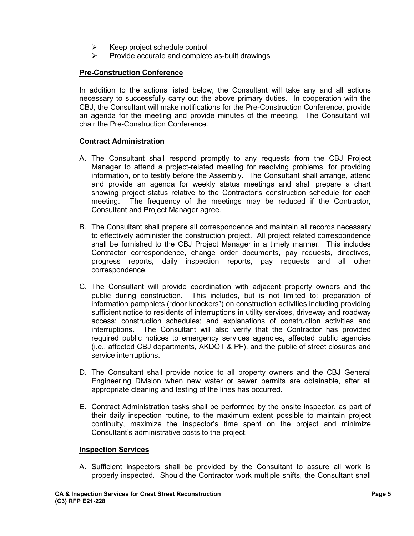- $\triangleright$  Keep project schedule control
- Provide accurate and complete as-built drawings

# **Pre-Construction Conference**

In addition to the actions listed below, the Consultant will take any and all actions necessary to successfully carry out the above primary duties. In cooperation with the CBJ, the Consultant will make notifications for the Pre-Construction Conference, provide an agenda for the meeting and provide minutes of the meeting. The Consultant will chair the Pre-Construction Conference.

### **Contract Administration**

- A. The Consultant shall respond promptly to any requests from the CBJ Project Manager to attend a project-related meeting for resolving problems, for providing information, or to testify before the Assembly. The Consultant shall arrange, attend and provide an agenda for weekly status meetings and shall prepare a chart showing project status relative to the Contractor's construction schedule for each meeting. The frequency of the meetings may be reduced if the Contractor, Consultant and Project Manager agree.
- B. The Consultant shall prepare all correspondence and maintain all records necessary to effectively administer the construction project. All project related correspondence shall be furnished to the CBJ Project Manager in a timely manner. This includes Contractor correspondence, change order documents, pay requests, directives, progress reports, daily inspection reports, pay requests and all other correspondence.
- C. The Consultant will provide coordination with adjacent property owners and the public during construction. This includes, but is not limited to: preparation of information pamphlets ("door knockers") on construction activities including providing sufficient notice to residents of interruptions in utility services, driveway and roadway access; construction schedules; and explanations of construction activities and interruptions. The Consultant will also verify that the Contractor has provided required public notices to emergency services agencies, affected public agencies (i.e., affected CBJ departments, AKDOT & PF), and the public of street closures and service interruptions.
- D. The Consultant shall provide notice to all property owners and the CBJ General Engineering Division when new water or sewer permits are obtainable, after all appropriate cleaning and testing of the lines has occurred.
- E. Contract Administration tasks shall be performed by the onsite inspector, as part of their daily inspection routine, to the maximum extent possible to maintain project continuity, maximize the inspector's time spent on the project and minimize Consultant's administrative costs to the project.

#### **Inspection Services**

A. Sufficient inspectors shall be provided by the Consultant to assure all work is properly inspected. Should the Contractor work multiple shifts, the Consultant shall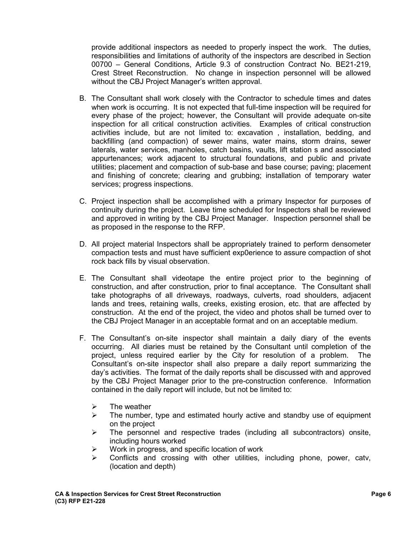provide additional inspectors as needed to properly inspect the work. The duties, responsibilities and limitations of authority of the inspectors are described in Section 00700 – General Conditions, Article 9.3 of construction Contract No. BE21-219, Crest Street Reconstruction. No change in inspection personnel will be allowed without the CBJ Project Manager's written approval.

- B. The Consultant shall work closely with the Contractor to schedule times and dates when work is occurring. It is not expected that full-time inspection will be required for every phase of the project; however, the Consultant will provide adequate on-site inspection for all critical construction activities. Examples of critical construction activities include, but are not limited to: excavation , installation, bedding, and backfilling (and compaction) of sewer mains, water mains, storm drains, sewer laterals, water services, manholes, catch basins, vaults, lift station s and associated appurtenances; work adjacent to structural foundations, and public and private utilities; placement and compaction of sub-base and base course; paving; placement and finishing of concrete; clearing and grubbing; installation of temporary water services; progress inspections.
- C. Project inspection shall be accomplished with a primary Inspector for purposes of continuity during the project. Leave time scheduled for Inspectors shall be reviewed and approved in writing by the CBJ Project Manager. Inspection personnel shall be as proposed in the response to the RFP.
- D. All project material Inspectors shall be appropriately trained to perform densometer compaction tests and must have sufficient exp0erience to assure compaction of shot rock back fills by visual observation.
- E. The Consultant shall videotape the entire project prior to the beginning of construction, and after construction, prior to final acceptance. The Consultant shall take photographs of all driveways, roadways, culverts, road shoulders, adjacent lands and trees, retaining walls, creeks, existing erosion, etc. that are affected by construction. At the end of the project, the video and photos shall be turned over to the CBJ Project Manager in an acceptable format and on an acceptable medium.
- F. The Consultant's on-site inspector shall maintain a daily diary of the events occurring. All diaries must be retained by the Consultant until completion of the project, unless required earlier by the City for resolution of a problem. The Consultant's on-site inspector shall also prepare a daily report summarizing the day's activities. The format of the daily reports shall be discussed with and approved by the CBJ Project Manager prior to the pre-construction conference. Information contained in the daily report will include, but not be limited to:
	- $\triangleright$  The weather
	- $\triangleright$  The number, type and estimated hourly active and standby use of equipment on the project
	- $\triangleright$  The personnel and respective trades (including all subcontractors) onsite, including hours worked
	- $\triangleright$  Work in progress, and specific location of work<br>  $\triangleright$  Conflicts and crossing with other utilities
	- Conflicts and crossing with other utilities, including phone, power, catv, (location and depth)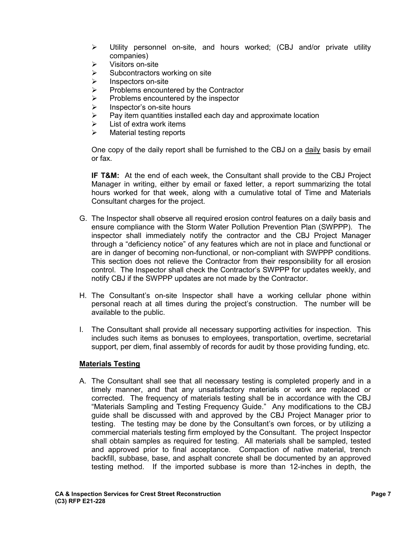- Utility personnel on-site, and hours worked; (CBJ and/or private utility companies)
- $\triangleright$  Visitors on-site
- $\triangleright$  Subcontractors working on site
- $\geq$  Inspectors on-site<br> $\geq$  Problems encount
- Problems encountered by the Contractor
- $\triangleright$  Problems encountered by the inspector
- $\geq$  Inspector's on-site hours<br> $\geq$  Pav item quantities instal
- Pay item quantities installed each day and approximate location
- $\triangleright$  List of extra work items
- $\triangleright$  Material testing reports

One copy of the daily report shall be furnished to the CBJ on a daily basis by email or fax.

**IF T&M:** At the end of each week, the Consultant shall provide to the CBJ Project Manager in writing, either by email or faxed letter, a report summarizing the total hours worked for that week, along with a cumulative total of Time and Materials Consultant charges for the project.

- G. The Inspector shall observe all required erosion control features on a daily basis and ensure compliance with the Storm Water Pollution Prevention Plan (SWPPP). The inspector shall immediately notify the contractor and the CBJ Project Manager through a "deficiency notice" of any features which are not in place and functional or are in danger of becoming non-functional, or non-compliant with SWPPP conditions. This section does not relieve the Contractor from their responsibility for all erosion control. The Inspector shall check the Contractor's SWPPP for updates weekly, and notify CBJ if the SWPPP updates are not made by the Contractor.
- H. The Consultant's on-site Inspector shall have a working cellular phone within personal reach at all times during the project's construction. The number will be available to the public.
- I. The Consultant shall provide all necessary supporting activities for inspection. This includes such items as bonuses to employees, transportation, overtime, secretarial support, per diem, final assembly of records for audit by those providing funding, etc.

### **Materials Testing**

A. The Consultant shall see that all necessary testing is completed properly and in a timely manner, and that any unsatisfactory materials or work are replaced or corrected. The frequency of materials testing shall be in accordance with the CBJ "Materials Sampling and Testing Frequency Guide." Any modifications to the CBJ guide shall be discussed with and approved by the CBJ Project Manager prior to testing. The testing may be done by the Consultant's own forces, or by utilizing a commercial materials testing firm employed by the Consultant. The project Inspector shall obtain samples as required for testing. All materials shall be sampled, tested and approved prior to final acceptance. Compaction of native material, trench backfill, subbase, base, and asphalt concrete shall be documented by an approved testing method. If the imported subbase is more than 12-inches in depth, the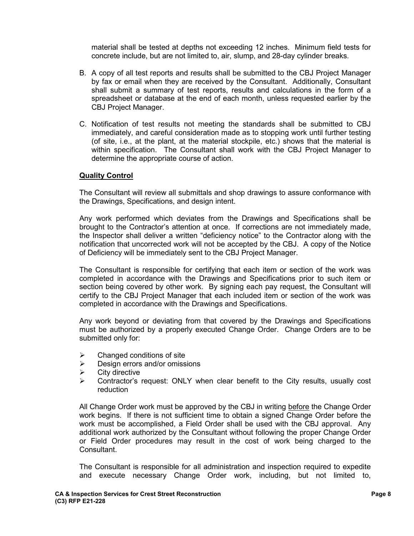material shall be tested at depths not exceeding 12 inches. Minimum field tests for concrete include, but are not limited to, air, slump, and 28-day cylinder breaks.

- B. A copy of all test reports and results shall be submitted to the CBJ Project Manager by fax or email when they are received by the Consultant. Additionally, Consultant shall submit a summary of test reports, results and calculations in the form of a spreadsheet or database at the end of each month, unless requested earlier by the CBJ Project Manager.
- C. Notification of test results not meeting the standards shall be submitted to CBJ immediately, and careful consideration made as to stopping work until further testing (of site, i.e., at the plant, at the material stockpile, etc.) shows that the material is within specification. The Consultant shall work with the CBJ Project Manager to determine the appropriate course of action.

#### **Quality Control**

The Consultant will review all submittals and shop drawings to assure conformance with the Drawings, Specifications, and design intent.

Any work performed which deviates from the Drawings and Specifications shall be brought to the Contractor's attention at once. If corrections are not immediately made, the Inspector shall deliver a written "deficiency notice" to the Contractor along with the notification that uncorrected work will not be accepted by the CBJ. A copy of the Notice of Deficiency will be immediately sent to the CBJ Project Manager.

The Consultant is responsible for certifying that each item or section of the work was completed in accordance with the Drawings and Specifications prior to such item or section being covered by other work. By signing each pay request, the Consultant will certify to the CBJ Project Manager that each included item or section of the work was completed in accordance with the Drawings and Specifications.

Any work beyond or deviating from that covered by the Drawings and Specifications must be authorized by a properly executed Change Order. Change Orders are to be submitted only for:

- $\triangleright$  Changed conditions of site
- $\triangleright$  Design errors and/or omissions
- $\triangleright$  City directive
- $\triangleright$  Contractor's request: ONLY when clear benefit to the City results, usually cost reduction

All Change Order work must be approved by the CBJ in writing before the Change Order work begins. If there is not sufficient time to obtain a signed Change Order before the work must be accomplished, a Field Order shall be used with the CBJ approval. Any additional work authorized by the Consultant without following the proper Change Order or Field Order procedures may result in the cost of work being charged to the Consultant.

The Consultant is responsible for all administration and inspection required to expedite and execute necessary Change Order work, including, but not limited to,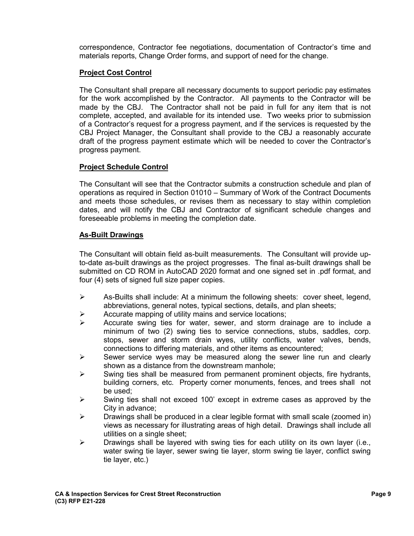correspondence, Contractor fee negotiations, documentation of Contractor's time and materials reports, Change Order forms, and support of need for the change.

# **Project Cost Control**

The Consultant shall prepare all necessary documents to support periodic pay estimates for the work accomplished by the Contractor. All payments to the Contractor will be made by the CBJ. The Contractor shall not be paid in full for any item that is not complete, accepted, and available for its intended use. Two weeks prior to submission of a Contractor's request for a progress payment, and if the services is requested by the CBJ Project Manager, the Consultant shall provide to the CBJ a reasonably accurate draft of the progress payment estimate which will be needed to cover the Contractor's progress payment.

# **Project Schedule Control**

The Consultant will see that the Contractor submits a construction schedule and plan of operations as required in Section 01010 – Summary of Work of the Contract Documents and meets those schedules, or revises them as necessary to stay within completion dates, and will notify the CBJ and Contractor of significant schedule changes and foreseeable problems in meeting the completion date.

### **As-Built Drawings**

The Consultant will obtain field as-built measurements. The Consultant will provide upto-date as-built drawings as the project progresses. The final as-built drawings shall be submitted on CD ROM in AutoCAD 2020 format and one signed set in .pdf format, and four (4) sets of signed full size paper copies.

- $\triangleright$  As-Builts shall include: At a minimum the following sheets: cover sheet, legend, abbreviations, general notes, typical sections, details, and plan sheets;
- $\triangleright$  Accurate mapping of utility mains and service locations;
- $\triangleright$  Accurate swing ties for water, sewer, and storm drainage are to include a minimum of two (2) swing ties to service connections, stubs, saddles, corp. stops, sewer and storm drain wyes, utility conflicts, water valves, bends, connections to differing materials, and other items as encountered;
- $\triangleright$  Sewer service wyes may be measured along the sewer line run and clearly shown as a distance from the downstream manhole;
- $\triangleright$  Swing ties shall be measured from permanent prominent objects, fire hydrants, building corners, etc. Property corner monuments, fences, and trees shall not be used;
- $\triangleright$  Swing ties shall not exceed 100' except in extreme cases as approved by the City in advance;
- $\triangleright$  Drawings shall be produced in a clear legible format with small scale (zoomed in) views as necessary for illustrating areas of high detail. Drawings shall include all utilities on a single sheet;
- $\triangleright$  Drawings shall be layered with swing ties for each utility on its own layer (i.e., water swing tie layer, sewer swing tie layer, storm swing tie layer, conflict swing tie layer, etc.)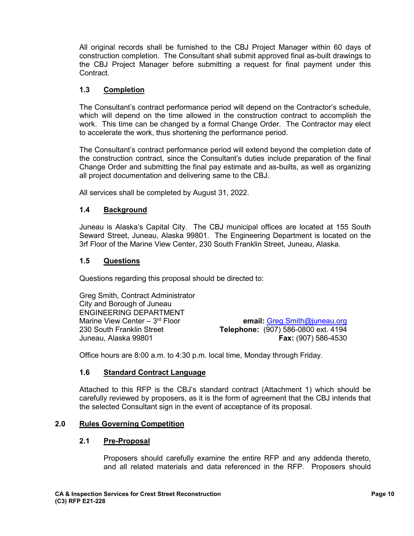All original records shall be furnished to the CBJ Project Manager within 60 days of construction completion. The Consultant shall submit approved final as-built drawings to the CBJ Project Manager before submitting a request for final payment under this Contract.

### **1.3 Completion**

The Consultant's contract performance period will depend on the Contractor's schedule, which will depend on the time allowed in the construction contract to accomplish the work. This time can be changed by a formal Change Order. The Contractor may elect to accelerate the work, thus shortening the performance period.

The Consultant's contract performance period will extend beyond the completion date of the construction contract, since the Consultant's duties include preparation of the final Change Order and submitting the final pay estimate and as-builts, as well as organizing all project documentation and delivering same to the CBJ.

All services shall be completed by August 31, 2022.

# **1.4 Background**

Juneau is Alaska's Capital City. The CBJ municipal offices are located at 155 South Seward Street, Juneau, Alaska 99801. The Engineering Department is located on the 3rf Floor of the Marine View Center, 230 South Franklin Street, Juneau, Alaska.

### **1.5 Questions**

Questions regarding this proposal should be directed to:

Greg Smith, Contract Administrator City and Borough of Juneau ENGINEERING DEPARTMENT<br>Marine View Center - 3<sup>rd</sup> Floor

Marine View Center – 3<sup>rd</sup> Floor **email:** [Greg.Smith@juneau.org](mailto:Greg.Smith@juneau.org)<br>130 South Franklin Street **end and Telephone:** (907) 586-0800 ext. 4194 230 South Franklin Street **Telephone:** (907) 586-0800 ext. 4194 **Fax:** (907) 586-4530

Office hours are 8:00 a.m. to 4:30 p.m. local time, Monday through Friday.

### **1.6 Standard Contract Language**

Attached to this RFP is the CBJ's standard contract (Attachment 1) which should be carefully reviewed by proposers, as it is the form of agreement that the CBJ intends that the selected Consultant sign in the event of acceptance of its proposal.

### **2.0 Rules Governing Competition**

### **2.1 Pre-Proposal**

Proposers should carefully examine the entire RFP and any addenda thereto, and all related materials and data referenced in the RFP. Proposers should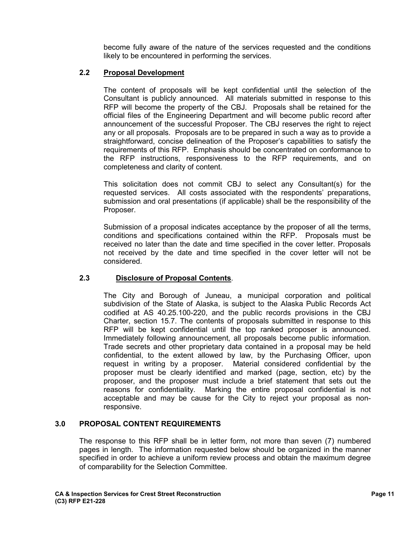become fully aware of the nature of the services requested and the conditions likely to be encountered in performing the services.

### **2.2 Proposal Development**

The content of proposals will be kept confidential until the selection of the Consultant is publicly announced. All materials submitted in response to this RFP will become the property of the CBJ. Proposals shall be retained for the official files of the Engineering Department and will become public record after announcement of the successful Proposer. The CBJ reserves the right to reject any or all proposals. Proposals are to be prepared in such a way as to provide a straightforward, concise delineation of the Proposer's capabilities to satisfy the requirements of this RFP. Emphasis should be concentrated on conformance to the RFP instructions, responsiveness to the RFP requirements, and on completeness and clarity of content.

This solicitation does not commit CBJ to select any Consultant(s) for the requested services. All costs associated with the respondents' preparations, submission and oral presentations (if applicable) shall be the responsibility of the Proposer.

Submission of a proposal indicates acceptance by the proposer of all the terms, conditions and specifications contained within the RFP. Proposals must be received no later than the date and time specified in the cover letter. Proposals not received by the date and time specified in the cover letter will not be considered.

### **2.3 Disclosure of Proposal Contents**.

The City and Borough of Juneau, a municipal corporation and political subdivision of the State of Alaska, is subject to the Alaska Public Records Act codified at AS 40.25.100-220, and the public records provisions in the CBJ Charter, section 15.7. The contents of proposals submitted in response to this RFP will be kept confidential until the top ranked proposer is announced. Immediately following announcement, all proposals become public information. Trade secrets and other proprietary data contained in a proposal may be held confidential, to the extent allowed by law, by the Purchasing Officer, upon request in writing by a proposer. Material considered confidential by the proposer must be clearly identified and marked (page, section, etc) by the proposer, and the proposer must include a brief statement that sets out the reasons for confidentiality. Marking the entire proposal confidential is not acceptable and may be cause for the City to reject your proposal as nonresponsive.

### **3.0 PROPOSAL CONTENT REQUIREMENTS**

The response to this RFP shall be in letter form, not more than seven (7) numbered pages in length. The information requested below should be organized in the manner specified in order to achieve a uniform review process and obtain the maximum degree of comparability for the Selection Committee.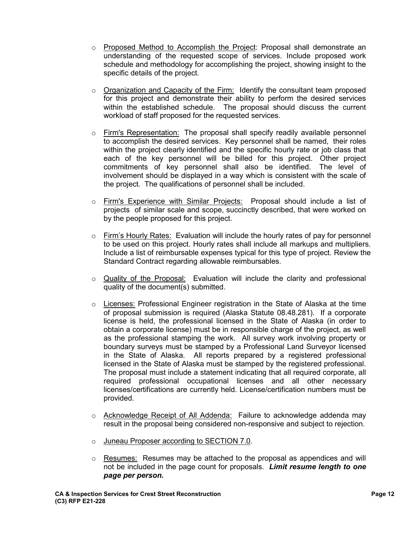- o Proposed Method to Accomplish the Project: Proposal shall demonstrate an understanding of the requested scope of services. Include proposed work schedule and methodology for accomplishing the project, showing insight to the specific details of the project.
- o Organization and Capacity of the Firm: Identify the consultant team proposed for this project and demonstrate their ability to perform the desired services within the established schedule. The proposal should discuss the current workload of staff proposed for the requested services.
- $\circ$  Firm's Representation: The proposal shall specify readily available personnel to accomplish the desired services. Key personnel shall be named, their roles within the project clearly identified and the specific hourly rate or job class that each of the key personnel will be billed for this project. Other project commitments of key personnel shall also be identified. The level of involvement should be displayed in a way which is consistent with the scale of the project. The qualifications of personnel shall be included.
- o Firm's Experience with Similar Projects: Proposal should include a list of projects of similar scale and scope, succinctly described, that were worked on by the people proposed for this project.
- $\circ$  Firm's Hourly Rates: Evaluation will include the hourly rates of pay for personnel to be used on this project. Hourly rates shall include all markups and multipliers. Include a list of reimbursable expenses typical for this type of project. Review the Standard Contract regarding allowable reimbursables.
- o Quality of the Proposal: Evaluation will include the clarity and professional quality of the document(s) submitted.
- $\circ$  Licenses: Professional Engineer registration in the State of Alaska at the time of proposal submission is required (Alaska Statute 08.48.281). If a corporate license is held, the professional licensed in the State of Alaska (in order to obtain a corporate license) must be in responsible charge of the project, as well as the professional stamping the work. All survey work involving property or boundary surveys must be stamped by a Professional Land Surveyor licensed in the State of Alaska. All reports prepared by a registered professional licensed in the State of Alaska must be stamped by the registered professional. The proposal must include a statement indicating that all required corporate, all required professional occupational licenses and all other necessary licenses/certifications are currently held. License/certification numbers must be provided.
- o Acknowledge Receipt of All Addenda: Failure to acknowledge addenda may result in the proposal being considered non-responsive and subject to rejection.
- o Juneau Proposer according to SECTION 7.0.
- $\circ$  Resumes: Resumes may be attached to the proposal as appendices and will not be included in the page count for proposals. *Limit resume length to one page per person.*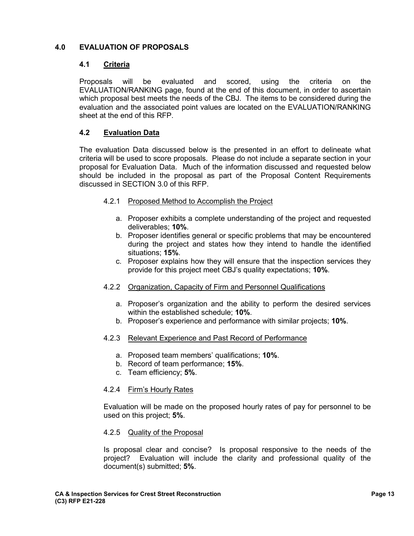# **4.0 EVALUATION OF PROPOSALS**

#### **4.1 Criteria**

Proposals will be evaluated and scored, using the criteria on the EVALUATION/RANKING page, found at the end of this document, in order to ascertain which proposal best meets the needs of the CBJ. The items to be considered during the evaluation and the associated point values are located on the EVALUATION/RANKING sheet at the end of this RFP.

#### **4.2 Evaluation Data**

The evaluation Data discussed below is the presented in an effort to delineate what criteria will be used to score proposals. Please do not include a separate section in your proposal for Evaluation Data. Much of the information discussed and requested below should be included in the proposal as part of the Proposal Content Requirements discussed in SECTION 3.0 of this RFP.

- 4.2.1 Proposed Method to Accomplish the Project
	- a. Proposer exhibits a complete understanding of the project and requested deliverables; **10%**.
	- b. Proposer identifies general or specific problems that may be encountered during the project and states how they intend to handle the identified situations; **15%**.
	- c. Proposer explains how they will ensure that the inspection services they provide for this project meet CBJ's quality expectations; **10%**.
- 4.2.2 Organization, Capacity of Firm and Personnel Qualifications
	- a. Proposer's organization and the ability to perform the desired services within the established schedule; **10%**.
	- b. Proposer's experience and performance with similar projects; **10%**.
- 4.2.3 Relevant Experience and Past Record of Performance
	- a. Proposed team members' qualifications; **10%**.
	- b. Record of team performance; **15%**.
	- c. Team efficiency; **5%**.

#### 4.2.4 Firm's Hourly Rates

Evaluation will be made on the proposed hourly rates of pay for personnel to be used on this project; **5%**.

#### 4.2.5 Quality of the Proposal

Is proposal clear and concise? Is proposal responsive to the needs of the project? Evaluation will include the clarity and professional quality of the document(s) submitted; **5%**.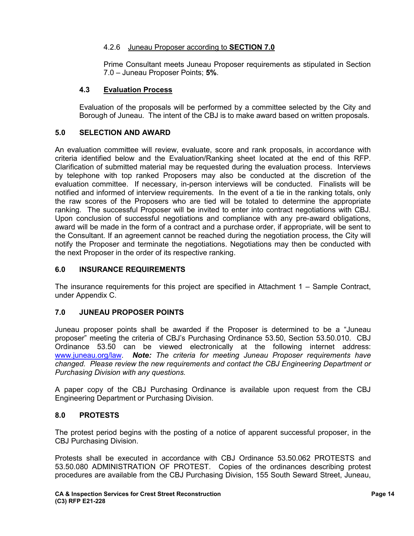# 4.2.6 Juneau Proposer according to **SECTION 7.0**

Prime Consultant meets Juneau Proposer requirements as stipulated in Section 7.0 – Juneau Proposer Points; **5%**.

### **4.3 Evaluation Process**

Evaluation of the proposals will be performed by a committee selected by the City and Borough of Juneau. The intent of the CBJ is to make award based on written proposals.

#### **5.0 SELECTION AND AWARD**

An evaluation committee will review, evaluate, score and rank proposals, in accordance with criteria identified below and the Evaluation/Ranking sheet located at the end of this RFP. Clarification of submitted material may be requested during the evaluation process. Interviews by telephone with top ranked Proposers may also be conducted at the discretion of the evaluation committee. If necessary, in-person interviews will be conducted. Finalists will be notified and informed of interview requirements. In the event of a tie in the ranking totals, only the raw scores of the Proposers who are tied will be totaled to determine the appropriate ranking. The successful Proposer will be invited to enter into contract negotiations with CBJ. Upon conclusion of successful negotiations and compliance with any pre-award obligations, award will be made in the form of a contract and a purchase order, if appropriate, will be sent to the Consultant. If an agreement cannot be reached during the negotiation process, the City will notify the Proposer and terminate the negotiations. Negotiations may then be conducted with the next Proposer in the order of its respective ranking.

### **6.0 INSURANCE REQUIREMENTS**

The insurance requirements for this project are specified in Attachment 1 – Sample Contract, under Appendix C.

### **7.0 JUNEAU PROPOSER POINTS**

Juneau proposer points shall be awarded if the Proposer is determined to be a "Juneau proposer" meeting the criteria of CBJ's Purchasing Ordinance 53.50, Section 53.50.010. CBJ Ordinance 53.50 can be viewed electronically at the following internet address: [www.juneau.org/law.](http://www.juneau.org/law) *Note: The criteria for meeting Juneau Proposer requirements have changed. Please review the new requirements and contact the CBJ Engineering Department or Purchasing Division with any questions.* 

A paper copy of the CBJ Purchasing Ordinance is available upon request from the CBJ Engineering Department or Purchasing Division.

### **8.0 PROTESTS**

The protest period begins with the posting of a notice of apparent successful proposer, in the CBJ Purchasing Division.

Protests shall be executed in accordance with CBJ Ordinance 53.50.062 PROTESTS and 53.50.080 ADMINISTRATION OF PROTEST. Copies of the ordinances describing protest procedures are available from the CBJ Purchasing Division, 155 South Seward Street, Juneau,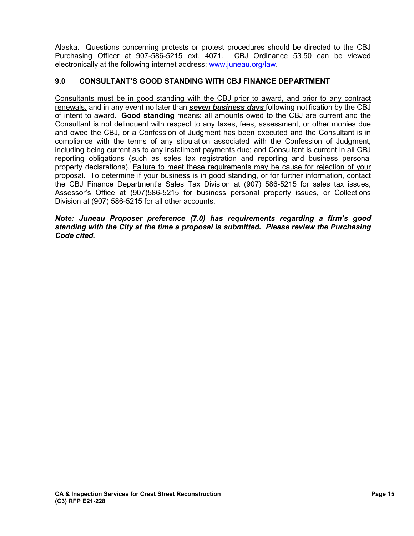Alaska. Questions concerning protests or protest procedures should be directed to the CBJ Purchasing Officer at 907-586-5215 ext. 4071. CBJ Ordinance 53.50 can be viewed electronically at the following internet address: [www.juneau.org/law.](http://www.juneau.org/law)

### **9.0 CONSULTANT'S GOOD STANDING WITH CBJ FINANCE DEPARTMENT**

Consultants must be in good standing with the CBJ prior to award, and prior to any contract renewals, and in any event no later than *seven business days* following notification by the CBJ of intent to award. **Good standing** means: all amounts owed to the CBJ are current and the Consultant is not delinquent with respect to any taxes, fees, assessment, or other monies due and owed the CBJ, or a Confession of Judgment has been executed and the Consultant is in compliance with the terms of any stipulation associated with the Confession of Judgment, including being current as to any installment payments due; and Consultant is current in all CBJ reporting obligations (such as sales tax registration and reporting and business personal property declarations). Failure to meet these requirements may be cause for rejection of your proposal. To determine if your business is in good standing, or for further information, contact the CBJ Finance Department's Sales Tax Division at (907) 586-5215 for sales tax issues, Assessor's Office at (907)586-5215 for business personal property issues, or Collections Division at (907) 586-5215 for all other accounts.

#### *Note: Juneau Proposer preference (7.0) has requirements regarding a firm's good standing with the City at the time a proposal is submitted. Please review the Purchasing Code cited.*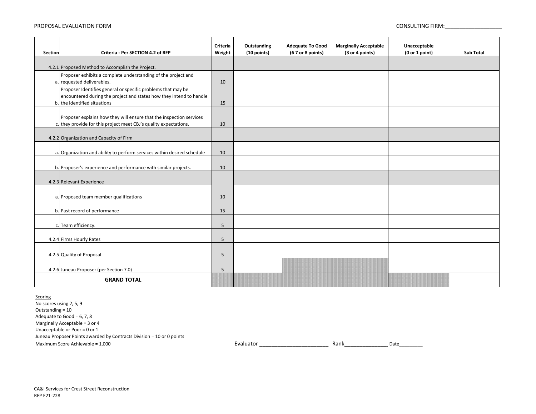#### PROPOSAL EVALUATION FORM CONSULTING FIRM:

| Section            | Criteria - Per SECTION 4.2 of RFP                                                                                                   | Criteria<br>Weight | Outstanding<br>(10 points) | <b>Adequate To Good</b><br>(67 or 8 points) | <b>Marginally Acceptable</b><br>(3 or 4 points) | Unacceptable<br>(0 or 1 point) | <b>Sub Total</b> |
|--------------------|-------------------------------------------------------------------------------------------------------------------------------------|--------------------|----------------------------|---------------------------------------------|-------------------------------------------------|--------------------------------|------------------|
|                    |                                                                                                                                     |                    |                            |                                             |                                                 |                                |                  |
|                    | 4.2.1 Proposed Method to Accomplish the Project.<br>Proposer exhibits a complete understanding of the project and                   |                    |                            |                                             |                                                 |                                |                  |
|                    | a. requested deliverables.                                                                                                          | 10                 |                            |                                             |                                                 |                                |                  |
|                    | Proposer Identifies general or specific problems that may be<br>encountered during the project and states how they intend to handle |                    |                            |                                             |                                                 |                                |                  |
|                    | b. the identified situations                                                                                                        | 15                 |                            |                                             |                                                 |                                |                  |
|                    | Proposer explains how they will ensure that the inspection services                                                                 |                    |                            |                                             |                                                 |                                |                  |
|                    | c. they provide for this project meet CBJ's quality expectations.                                                                   | 10                 |                            |                                             |                                                 |                                |                  |
|                    | 4.2.2 Organization and Capacity of Firm                                                                                             |                    |                            |                                             |                                                 |                                |                  |
|                    |                                                                                                                                     |                    |                            |                                             |                                                 |                                |                  |
|                    | a. Organization and ability to perform services within desired schedule                                                             | 10                 |                            |                                             |                                                 |                                |                  |
|                    | b. Proposer's experience and performance with similar projects.                                                                     | 10                 |                            |                                             |                                                 |                                |                  |
|                    | 4.2.3 Relevant Experience                                                                                                           |                    |                            |                                             |                                                 |                                |                  |
|                    |                                                                                                                                     |                    |                            |                                             |                                                 |                                |                  |
|                    | a. Proposed team member qualifications                                                                                              | 10                 |                            |                                             |                                                 |                                |                  |
|                    | b. Past record of performance                                                                                                       | 15                 |                            |                                             |                                                 |                                |                  |
|                    | c. Team efficiency.                                                                                                                 | 5                  |                            |                                             |                                                 |                                |                  |
|                    | 4.2.4 Firms Hourly Rates                                                                                                            | 5                  |                            |                                             |                                                 |                                |                  |
|                    |                                                                                                                                     |                    |                            |                                             |                                                 |                                |                  |
|                    | 4.2.5 Quality of Proposal                                                                                                           | 5                  |                            |                                             |                                                 |                                |                  |
|                    | 4.2.6 Juneau Proposer (per Section 7.0)                                                                                             | 5                  |                            |                                             |                                                 |                                |                  |
| <b>GRAND TOTAL</b> |                                                                                                                                     |                    |                            |                                             |                                                 |                                |                  |

#### **Scoring**

No scores using 2, 5, 9 Juneau Proposer Points awarded by Contracts Division = 10 or 0 points Outstanding = 10 Adequate to Good =  $6, 7, 8$ Marginally Acceptable = 3 or 4 Unacceptable or Poor = 0 or 1

Maximum Score Achievable = 1,000 and the second of the second second to the second of the second of the second of the second second second second second second second second second second second second second second second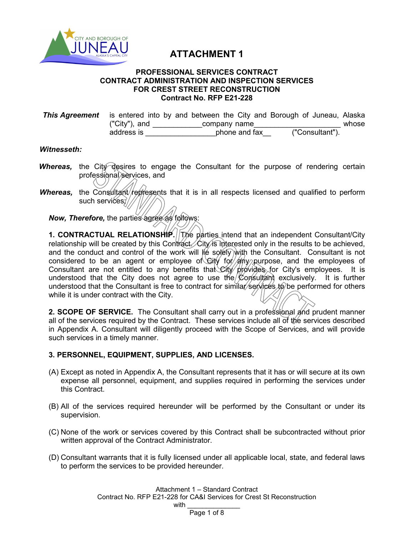

# **ATTACHMENT 1**

#### **PROFESSIONAL SERVICES CONTRACT CONTRACT ADMINISTRATION AND INSPECTION SERVICES FOR CREST STREET RECONSTRUCTION Contract No. RFP E21-228**

**This Agreement** is entered into by and between the City and Borough of Juneau, Alaska ("City"), and  $\frac{\cdot}{\cdot}$  company name  $\frac{\cdot}{\cdot}$  whose address is  $\cdot$  bhone and fax  $\cdot$  ("Consultant"). address is \_\_\_\_\_\_\_\_\_\_\_\_\_\_\_\_\_phone and fax\_\_ ("Consultant").

#### *Witnesseth:*

- **Whereas,** the City desires to engage the Consultant for the purpose of rendering certain professional services, and
- **Whereas,** the Consultant/represents that it is in all respects licensed and qualified to perform such services;//

*Now, Therefore,* the parties agree as follows:

**1. CONTRACTUAL RELATIONSHIP.** The parties intend that an independent Consultant/City relationship will be created by this Contract. City is interested only in the results to be achieved, and the conduct and control of the work will  $\|\phi\|$  solely with the Consultant. Consultant is not considered to be an agent or employee of Gity for  $/$  any purpose, and the employees of Consultant are not entitled to any benefits that City provides for City's employees. It is understood that the City does not agree to use the  $\&$  on sultant exclusively. It is further understood that the Consultant is free to contract for similar services to be performed for others while it is under contract with the City.

**2. SCOPE OF SERVICE.** The Consultant shall carry out in a professional and prudent manner all of the services required by the Contract. These services include all of the services described in Appendix A. Consultant will diligently proceed with the Scope of Services, and will provide such services in a timely manner.

### **3. PERSONNEL, EQUIPMENT, SUPPLIES, AND LICENSES.**

- (A) Except as noted in Appendix A, the Consultant represents that it has or will secure at its own expense all personnel, equipment, and supplies required in performing the services under this Contract.
- (B) All of the services required hereunder will be performed by the Consultant or under its supervision.
- (C) None of the work or services covered by this Contract shall be subcontracted without prior written approval of the Contract Administrator.
- (D) Consultant warrants that it is fully licensed under all applicable local, state, and federal laws to perform the services to be provided hereunder.

Attachment 1 – Standard Contract Contract No. RFP E21-228 for CA&I Services for Crest St Reconstruction with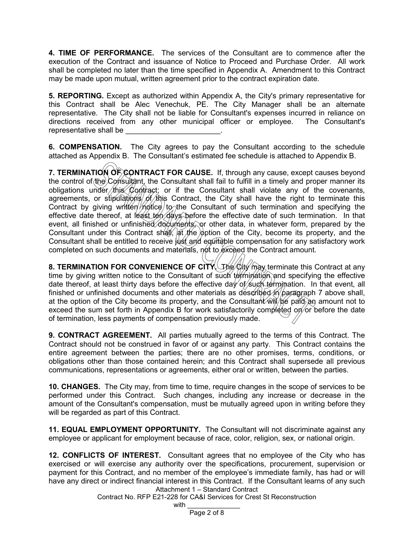**4. TIME OF PERFORMANCE.** The services of the Consultant are to commence after the execution of the Contract and issuance of Notice to Proceed and Purchase Order. All work shall be completed no later than the time specified in Appendix A. Amendment to this Contract may be made upon mutual, written agreement prior to the contract expiration date.

**5. REPORTING.** Except as authorized within Appendix A, the City's primary representative for this Contract shall be Alec Venechuk, PE. The City Manager shall be an alternate representative. The City shall not be liable for Consultant's expenses incurred in reliance on directions received from any other municipal officer or employee. The Consultant's representative shall be

**6. COMPENSATION.** The City agrees to pay the Consultant according to the schedule attached as Appendix B. The Consultant's estimated fee schedule is attached to Appendix B.

**7. TERMINATION OF CONTRACT FOR CAUSE.** If, through any cause, except causes beyond the control of the Consultant, the Consultant shall fail to fulfill in a timely and proper manner its obligations under this Contract; or if the Consultant shall violate any of the covenants, agreements, or stipulations of this Contract, the City shall have the right to terminate this Contract by giving written  $m$  to the Consultant of such termination and specifying the effective date thereof, at least ten days before the effective date of such termination. In that event, all finished or unfinished documents, or other data, in whatever form, prepared by the Consultant under this Contract shall,  $\frac{1}{2}$  the  $\frac{1}{2}$  option of the City, become its property, and the Consultant shall be entitled to receive just and equitable compensation for any satisfactory work completed on such documents and materials, not to exceed the Contract amount.

**8. TERMINATION FOR CONVENIENCE OF CITY.** The City may terminate this Contract at any time by giving written notice to the Consultant of such termination and specifying the effective date thereof, at least thirty days before the effective day of such termination. In that event, all finished or unfinished documents and other materials as described in paragraph 7 above shall, at the option of the City become its property, and the Consultant  $\hat{w}$   $\hat{w}$   $\hat{p}$   $\hat{p}$  an amount not to exceed the sum set forth in Appendix B for work satisfactorily completed on or before the date of termination, less payments of compensation previously made.

**9. CONTRACT AGREEMENT.** All parties mutually agreed to the terms of this Contract. The Contract should not be construed in favor of or against any party. This Contract contains the entire agreement between the parties; there are no other promises, terms, conditions, or obligations other than those contained herein; and this Contract shall supersede all previous communications, representations or agreements, either oral or written, between the parties.

**10. CHANGES.** The City may, from time to time, require changes in the scope of services to be performed under this Contract. Such changes, including any increase or decrease in the amount of the Consultant's compensation, must be mutually agreed upon in writing before they will be regarded as part of this Contract.

**11. EQUAL EMPLOYMENT OPPORTUNITY.** The Consultant will not discriminate against any employee or applicant for employment because of race, color, religion, sex, or national origin.

Attachment 1 – Standard Contract **12. CONFLICTS OF INTEREST.** Consultant agrees that no employee of the City who has exercised or will exercise any authority over the specifications, procurement, supervision or payment for this Contract, and no member of the employee's immediate family, has had or will have any direct or indirect financial interest in this Contract. If the Consultant learns of any such

Contract No. RFP E21-228 for CA&I Services for Crest St Reconstruction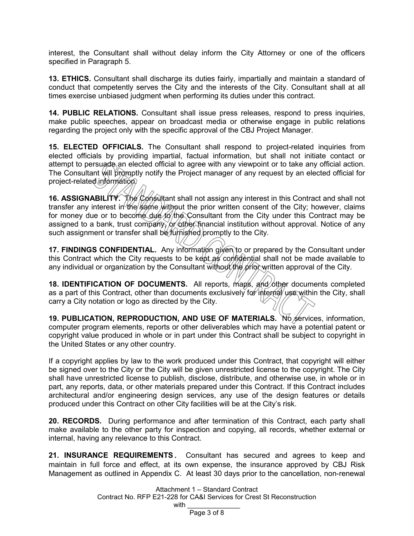interest, the Consultant shall without delay inform the City Attorney or one of the officers specified in Paragraph 5.

**13. ETHICS.** Consultant shall discharge its duties fairly, impartially and maintain a standard of conduct that competently serves the City and the interests of the City. Consultant shall at all times exercise unbiased judgment when performing its duties under this contract.

**14. PUBLIC RELATIONS.** Consultant shall issue press releases, respond to press inquiries, make public speeches, appear on broadcast media or otherwise engage in public relations regarding the project only with the specific approval of the CBJ Project Manager.

**15. ELECTED OFFICIALS.** The Consultant shall respond to project-related inquiries from elected officials by providing impartial, factual information, but shall not initiate contact or attempt to persuade an elected official to agree with any viewpoint or to take any official action. The Consultant will promptly notify the Project manager of any request by an elected official for project-related information.

**16. ASSIGNABILITY.** The Consultant shall not assign any interest in this Contract and shall not transfer any interest in the same without the prior written consent of the City; however, claims for money due or to become due to the Consultant from the City under this Contract may be assigned to a bank, trust company, or other financial institution without approval. Notice of any such assignment or transfer shall be *furnished* promptly to the City.

**17. FINDINGS CONFIDENTIAL.** Any information given to or prepared by the Consultant under this Contract which the City requests to be kept as confidential shall not be made available to any individual or organization by the Consultant without the prior written approval of the City.

**18. IDENTIFICATION OF DOCUMENTS.** All reports, maps, and other documents completed as a part of this Contract, other than documents exclusively for internal use within the City, shall carry a City notation or logo as directed by the City.

**19. PUBLICATION, REPRODUCTION, AND USE OF MATERIALS.** No services, information, computer program elements, reports or other deliverables which may have a potential patent or copyright value produced in whole or in part under this Contract shall be subject to copyright in the United States or any other country.

If a copyright applies by law to the work produced under this Contract, that copyright will either be signed over to the City or the City will be given unrestricted license to the copyright. The City shall have unrestricted license to publish, disclose, distribute, and otherwise use, in whole or in part, any reports, data, or other materials prepared under this Contract. If this Contract includes architectural and/or engineering design services, any use of the design features or details produced under this Contract on other City facilities will be at the City's risk.

**20. RECORDS.** During performance and after termination of this Contract, each party shall make available to the other party for inspection and copying, all records, whether external or internal, having any relevance to this Contract.

**21. INSURANCE REQUIREMENTS.** Consultant has secured and agrees to keep and maintain in full force and effect, at its own expense, the insurance approved by CBJ Risk Management as outlined in Appendix C. At least 30 days prior to the cancellation, non-renewal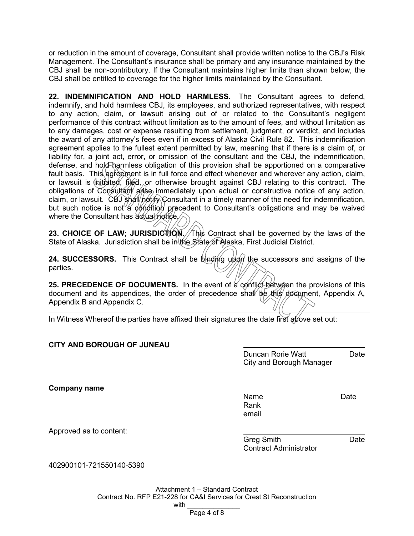or reduction in the amount of coverage, Consultant shall provide written notice to the CBJ's Risk Management. The Consultant's insurance shall be primary and any insurance maintained by the CBJ shall be non-contributory. If the Consultant maintains higher limits than shown below, the CBJ shall be entitled to coverage for the higher limits maintained by the Consultant.

**22. INDEMNIFICATION AND HOLD HARMLESS.** The Consultant agrees to defend, indemnify, and hold harmless CBJ, its employees, and authorized representatives, with respect to any action, claim, or lawsuit arising out of or related to the Consultant's negligent performance of this contract without limitation as to the amount of fees, and without limitation as to any damages, cost or expense resulting from settlement, judgment, or verdict, and includes the award of any attorney's fees even if in excess of Alaska Civil Rule 82. This indemnification agreement applies to the fullest extent permitted by law, meaning that if there is a claim of, or liability for, a joint act, error, or omission of the consultant and the CBJ, the indemnification, defense, and hold harmless obligation of this provision shall be apportioned on a comparative fault basis. This agreement is in full force and effect whenever and wherever any action, claim, or lawsuit is  $\oint$ nitiated, filed, or otherwise brought against CBJ relating to this contract. The obligations of Consultant arise immediately upon actual or constructive notice of any action, claim, or lawsuit. CBJ shall notify Consultant in a timely manner of the need for indemnification, but such notice is not a condition precedent to Consultant's obligations and may be waived where the Consultant has actual notice.

**23. CHOICE OF LAW; JURISDICTION. This Contract shall be governed by the laws of the** State of Alaska. Jurisdiction shall be in the State of Alaska, First Judicial District.

**24. SUCCESSORS.** This Contract shall be binding upon the successors and assigns of the parties.

**25. PRECEDENCE OF DOCUMENTS.** In the event of a conflict between the provisions of this document and its appendices, the order of precedence shall be this document, Appendix A, Appendix B and Appendix C.

In Witness Whereof the parties have affixed their signatures the date first above set out:

### **CITY AND BOROUGH OF JUNEAU**

Duncan Rorie Watt **Date** City and Borough Manager

**Company name**

Name Date Rank email

Approved as to content:

Greg Smith **Date** Contract Administrator

402900101-721550140-5390

Attachment 1 – Standard Contract Contract No. RFP E21-228 for CA&I Services for Crest St Reconstruction with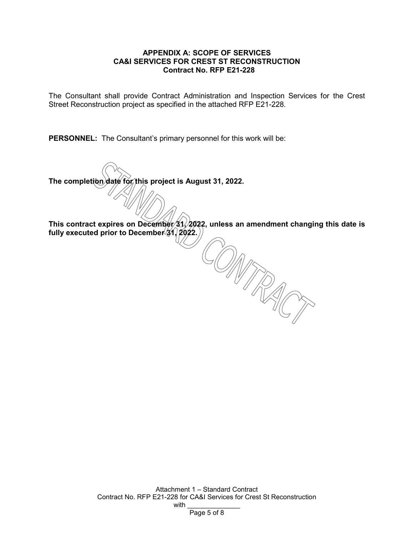#### **APPENDIX A: SCOPE OF SERVICES CA&I SERVICES FOR CREST ST RECONSTRUCTION Contract No. RFP E21-228**

The Consultant shall provide Contract Administration and Inspection Services for the Crest Street Reconstruction project as specified in the attached RFP E21-228.

**PERSONNEL:** The Consultant's primary personnel for this work will be:

**The completion date for this project is August 31, 2022.**

This contract expires on December 31, 2022, unless an amendment changing this date is fully executed prior to December<sup>(31</sup>) 2022.) COMMANDS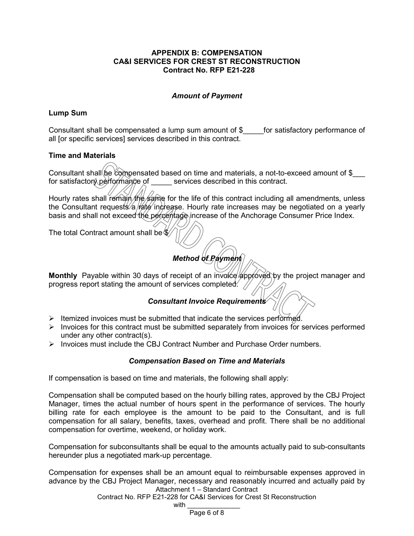#### **APPENDIX B: COMPENSATION CA&I SERVICES FOR CREST ST RECONSTRUCTION Contract No. RFP E21-228**

### *Amount of Payment*

### **Lump Sum**

Consultant shall be compensated a lump sum amount of \$\_\_\_\_\_for satisfactory performance of all [or specific services] services described in this contract.

### **Time and Materials**

Consultant shall be compensated based on time and materials, a not-to-exceed amount of \$ for satisfactory performance of services described in this contract.

Hourly rates shall remain the same for the life of this contract including all amendments, unless the Consultant requests/a  $\frac{1}{4}$  increase. Hourly rate increases may be negotiated on a yearly basis and shall not exceed the percentage increase of the Anchorage Consumer Price Index.

The total Contract amount shall be  $\%$ 

# *Method of Payment*

Monthly Payable within 30 days of receipt of an invoice approved by the project manager and progress report stating the amount of services completed.  $\sqrt{ }$ 

### *Consultant Invoice Requirements*

- $\triangleright$  Itemized invoices must be submitted that indicate the services performed.
- $\triangleright$  Invoices for this contract must be submitted separately from invoices for services performed under any other contract(s).
- $\triangleright$  Invoices must include the CBJ Contract Number and Purchase Order numbers.

### *Compensation Based on Time and Materials*

If compensation is based on time and materials, the following shall apply:

Compensation shall be computed based on the hourly billing rates, approved by the CBJ Project Manager, times the actual number of hours spent in the performance of services. The hourly billing rate for each employee is the amount to be paid to the Consultant, and is full compensation for all salary, benefits, taxes, overhead and profit. There shall be no additional compensation for overtime, weekend, or holiday work.

Compensation for subconsultants shall be equal to the amounts actually paid to sub-consultants hereunder plus a negotiated mark-up percentage.

Attachment 1 – Standard Contract Compensation for expenses shall be an amount equal to reimbursable expenses approved in advance by the CBJ Project Manager, necessary and reasonably incurred and actually paid by

Contract No. RFP E21-228 for CA&I Services for Crest St Reconstruction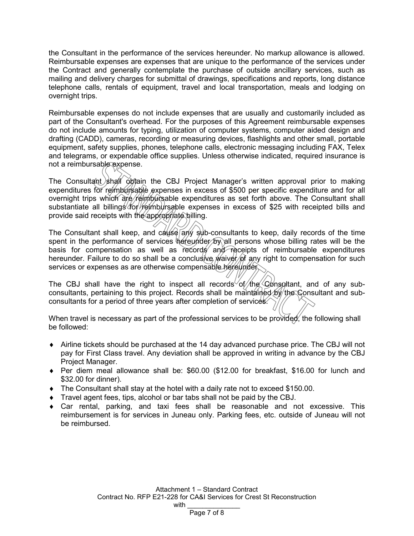the Consultant in the performance of the services hereunder. No markup allowance is allowed. Reimbursable expenses are expenses that are unique to the performance of the services under the Contract and generally contemplate the purchase of outside ancillary services, such as mailing and delivery charges for submittal of drawings, specifications and reports, long distance telephone calls, rentals of equipment, travel and local transportation, meals and lodging on overnight trips.

Reimbursable expenses do not include expenses that are usually and customarily included as part of the Consultant's overhead. For the purposes of this Agreement reimbursable expenses do not include amounts for typing, utilization of computer systems, computer aided design and drafting (CADD), cameras, recording or measuring devices, flashlights and other small, portable equipment, safety supplies, phones, telephone calls, electronic messaging including FAX, Telex and telegrams, or expendable office supplies. Unless otherwise indicated, required insurance is not a reimbursable expense.

The Consultant shall obtain the CBJ Project Manager's written approval prior to making expenditures for reimbursable expenses in excess of \$500 per specific expenditure and for all overnight trips which are reimbursable expenditures as set forth above. The Consultant shall substantiate all billings for reimbursable expenses in excess of \$25 with receipted bills and provide said receipts with the appropriate billing.

The Consultant shall keep, and cause any sub-consultants to keep, daily records of the time spent in the performance of services hereunder by all persons whose billing rates will be the basis for compensation as well as records and receipts of reimbursable expenditures hereunder. Failure to do so shall be a conclusive *waiver* of any right to compensation for such services or expenses as are otherwise compensable hereunder.

The CBJ shall have the right to inspect all records of the Consultant, and of any subconsultants, pertaining to this project. Records shall be maintained by the Consultant and subconsultants for a period of three years after completion of services.

When travel is necessary as part of the professional services to be provided, the following shall be followed:

- ♦ Airline tickets should be purchased at the 14 day advanced purchase price. The CBJ will not pay for First Class travel. Any deviation shall be approved in writing in advance by the CBJ Project Manager.
- ♦ Per diem meal allowance shall be: \$60.00 (\$12.00 for breakfast, \$16.00 for lunch and \$32.00 for dinner).
- $\bullet$  The Consultant shall stay at the hotel with a daily rate not to exceed \$150.00.
- ♦ Travel agent fees, tips, alcohol or bar tabs shall not be paid by the CBJ.
- $\bullet$  Car rental, parking, and taxi fees shall be reasonable and not excessive. This reimbursement is for services in Juneau only. Parking fees, etc. outside of Juneau will not be reimbursed.